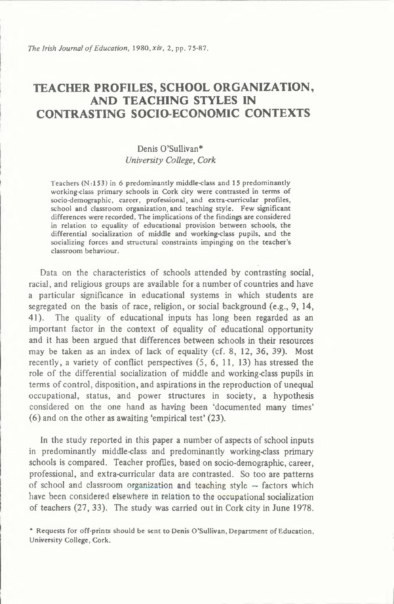*The Irish Journal of Education, 1980, xiv, 2, pp. 75-87.* 

# TEACHER PROFILES, SCHOOL ORGANIZATION, AND TEACHING STYLES IN CONTRASTING SOCIO ECONOMIC CONTEXTS

# **Denis O'Sullivan\*** *University College***,** *Cork*

Teachers  $(N:153)$  in 6 predominantly middle-class and 15 predominantly working-class primary schools in Cork city were contrasted in terms of socio-demographic, career, professional, and extra-curricular profiles, school and classroom organization, and teaching style. Few significant differences were recorded. The implications of the findings are considered in relation to equality of educational provision between schools, the differential socialization of middle and working-class pupils, and the socializing forces and structural constraints impinging on the teacher's classroom behaviour.

**Data on the characteristics of schools attended by contrasting social, racial, and religious groups are available for a number of countries and have a particular significance in educational systems in which students are segregated on the basis of race, religion, or social background (e.g., 9, 14, 41). The quality of educational inputs has long been regarded as an important factor in the context of equality of educational opportunity and it has been argued that differences between schools in their resources may be taken as an index of lack of equality (cf. 8, 12, 36, 39). Most recently, a variety of conflict perspectives (5, 6, 11, 13) has stressed the role of the differential socialization of middle and working-class pupils in terms of control, disposition, and aspirations in the reproduction of unequal occupational, status, and power structures in society, a hypothesis considered on the one hand as having been 'documented many times' (6) and on the other as awaiting 'empirical test' (23).**

**In the study reported in this paper a number of aspects of school inputs in predominantly middle-class and predominantly working-class primary schools is compared. Teacher profiles, based on socio-demographic, career, professional, and extra-curricular data are contrasted. So too are patterns of school and classroom organization and teaching style - factors which have been considered elsewhere in relation to the occupational socialization of teachers (27, 33). The study was carried out in Cork city in June 1978.**

\* Requests for off-prints should be sent to Denis O'Sullivan, Department of Education, University College, Cork.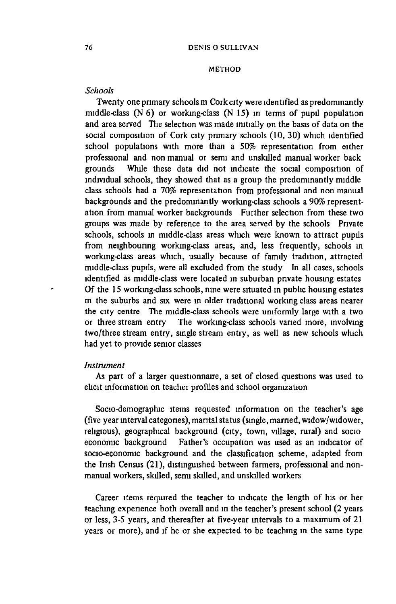#### METHOD

#### *Schools*

**Twenty one primary schools m Cork city were identified as predominantly middle-class (N 6) or working-class (N 15) in terms of pupil population and area served The selection was made initially on the basis of data on the social composition of Cork city primary schools (10, 30) which identified school populations with more than a 50% representation from either professional and non manual or semi and unskilled manual worker back grounds While these data did not mdicate the social composition of individual schools, they showed that as a group the predominantly middle class schools had a 70% representation from professional and non manual backgrounds and the predominantly working-class schools a 90% representation from manual worker backgrounds Further selection from these two groups was made by reference to the area served by the schools Private schools, schools in middle-class areas which were known to attract pupils from neighbouring working-class areas, and, less frequently, schools in working-class areas which, usually because of family tradition, attracted middle-class pupils, were all excluded from the study In all cases, schools identified as middle-class were located in suburban private housing estates Of the 15 working-class schools, nine were situated in public housing estates m the suburbs and six were m older traditional working class areas nearer the city centre The middle-class schools were uniformly large with a two or three stream entry The working-class schools vaned more, involving two/three stream entry, single stream entry, as well as new schools which had yet to provide senior classes**

# *Instrument*

**As part of a larger questionnaire, a set of closed questions was used to elicit information on teacher profiles and school organization**

**Socio-demographic items requested information on the teacher's age (five year interval categones), marital status (single, married, widow/widower, religious), geographical background (city, town, village, rural) and socio economic background Father's occupation was used as an indicator of socio-economic background and the classification scheme, adapted from the Irish Census (21), distinguished between farmers, professional and nonmanual workers, skilled, semi skilled, and unskilled workers**

**Career items required the teacher to mdicate the length of his or her teaching experience both overall and in the teacher's present school (2 years or less, 3-5 years, and thereafter at five-year intervals to a maximum of 21 years or more), and if he or she expected to be teaching in the same type**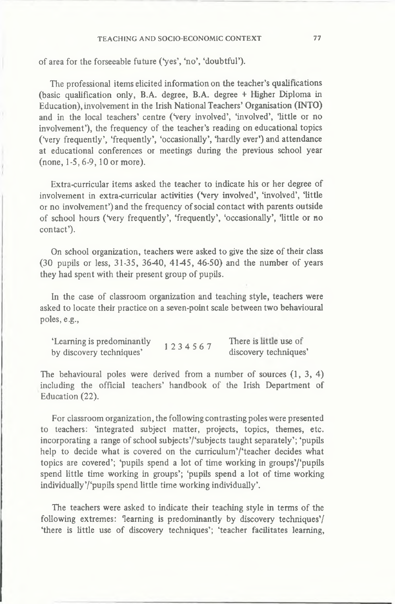#### TEACHING AND SOCIO-ECONOMIC CONTEXT 77

**of area for the forseeable future (Ves', 'no', 'doubtful').**

**The professional items elicited information on the teacher's qualifications (basic qualification only, B.A. degree, B.A. degree + Higher Diploma in Education), involvement in the Irish National Teachers' Organisation (INTO) and in the local teachers' centre (Very involved', 'involved', 'little or no involvement'), the frequency of the teacher's reading on educational topics (Very frequently', 'frequently', 'occasionally', 'hardly ever') and attendance at educational conferences or meetings during the previous school year (none, 1-5,6-9,10 or more).**

**Extra-curricular items asked the teacher to indicate his or her degree of** involvement in extra-curricular activities ('very involved', 'involved', 'little **or no involvement') and the frequency of social contact with parents outside of school hours (Very frequently', 'frequently', 'occasionally', 'little or no contact').**

**On school organization, teachers were asked to give the size of their class (30 pupils or less, 31-35, 3640, 4145, 46-50) and the number of years they had spent with their present group of pupils.**

**In the case of classroom organization and teaching style, teachers were asked to locate their practice on a seven-point scale between two behavioural poles, e.g.,**

| 'Learning is predominantly | 1234567 | There is little use of |
|----------------------------|---------|------------------------|
| by discovery techniques'   |         | discovery techniques'  |

**The behavioural poles were derived from a number of sources (1, 3, 4) including the official teachers' handbook of the Irish Department of Education (22).**

**For classroom organization, the following contrasting poles were presented to teachers: 'integrated subject matter, projects, topics, themes, etc. incorporating a range of school subjects'/'subjects taught separately'; 'pupils help to decide what is covered on the curriculum'/'teacher decides what topics are covered'; 'pupils spend a lot of time working in groups'/'pupils spend little time working in groups'; 'pupils spend a lot of time working individually'/'pupils spend little time working individually'.**

**The teachers were asked to indicate their teaching style in terms of the following extremes: 'learning is predominantly by discovery techniques'/ 'there is little use of discovery techniques'; 'teacher facilitates learning,**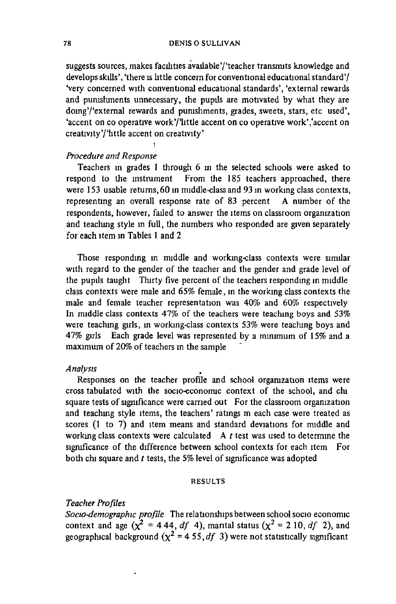**suggests sources, makes facilities available'/'teacher transmits knowledge and develops skills', 'there is little concern for conventional educational standard'/ Very concerned with conventional educational standards', 'external rewards and punishments unnecessary, the pupils are motivated by what they are domg'/'extemal rewards and punishments, grades, sweets, stars, etc used', 'accent on co operative work'/'little accent on co operative work','accent on creativity'/'httle accent on creativity'**

# *Procedure and Response*

i

**Teachers in grades 1 through 6 in the selected schools were asked to respond to the mstrument From the 185 teachers approached, there were 153 usable returns, 60 in middle-class and 93 in working class contexts, representing an overall response rate of 83 percent A number of the respondents, however, failed to answer the items on classroom organization and teaching style in full, the numbers who responded are given separately for each item in Tables 1 and 2**

**Those responding m middle and working-class contexts were similar with regard to the gender of the teacher and the gender and grade level of the pupils taught Thirty five percent of the teachers responding m middle class contexts were male and 65% female, in the working class contexts the male and female teacher representation was 40% and 60% respectively In middle class contexts 47% of the teachers were teaching boys and 53% were teaching girls, in working-class contexts 53% were teaching boys and 47% girls Each grade level was represented by a minimum of 15% and a maximum of 20% of teachers in the sample**

## *Analysis*

**Responses on the teacher profile and school organization items were cross tabulated with the socio-economic context of the school, and chi square tests of significance were carried out For the classroom organization and teaching style items, the teachers' ratings m each case were treated as scores (1 to 7) and item means and standard deviations for middle and working class contexts were calculated A** *t* **test was used to determine the significance of the difference between school contexts for each item For both chi square and** *t* **tests, the 5% level of significance was adopted**

# RESULTS

# *Teacher Profiles*

 $\overline{a}$ 

*Socio-demographic profile* **The relationships between school socio economic context and age (** $\chi^2 = 444$ **,** *df* 4), mantal status ( $\chi^2 = 210$ , *df* 2), and geographical background  $(\chi^2$  = 4 55*,df* 3) were not statistically significant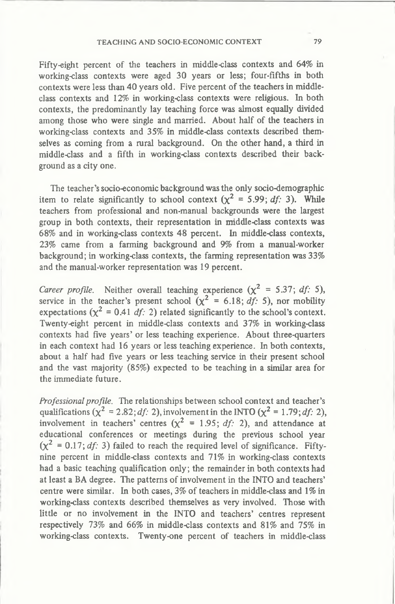# TEACHING AND SOCIO-ECONOMIC CONTEXT 79

**Fifty-eight percent of the teachers in middle-class contexts and 64% in working-class contexts were aged 30 years or less; four-fifths in both contexts were less than 40 years old. Five percent of the teachers in middleclass contexts and 12% in working-class contexts were religious. In both contexts, the predominantly lay teaching force was almost equally divided among those who were single and married. About half of the teachers in working-class contexts and 35% in middle-class contexts described themselves as coming from a rural background. On the other hand, a third in middle-class and a fifth in working-class contexts described their background as a city one.**

**The teacher's socio-economic background was the only socio-demographic item to relate significantly to school context**  $(x^2 = 5.99$ **;** *df***; 3). While teachers from professional and non-manual backgrounds were the largest group in both contexts, their representation in middle-class contexts was 68% and in working-class contexts 48 percent. In middle-class contexts, 23% came from a farming background and 9% from a manual-worker background; in working-class contexts, the farming representation was 33% and the manual-worker representation was 19 percent.**

*Career profile.* Neither overall teaching experience  $(\chi^2 = 5.37; df: 5)$ , service in the teacher's present school  $(\chi^2 = 6.18; df: 5)$ , nor mobility **expectations (** $\chi^2 = 0.41$ *df:* **2) related significantly to the school's context. Twenty-eight percent in middle-class contexts and 37% in working-class contexts had five years' or less teaching experience. About three-quarters in each context had 16 years or less teaching experience. In both contexts, about a half had five years or less teaching service in their present school and the vast majority (85%) expected to be teaching in a similar area for the immediate future.**

*Professional profile.* **The relationships between school context and teacher's qualifications (** $\chi^2 = 2.82$ **;** *df***: 2), involvement in the INTO (** $\chi^2 = 1.79$ **;** *df***: 2),** involvement in teachers' centres  $(x^2 = 1.95; df: 2)$ , and attendance at **educational conferences or meetings during the previous school year**  $(\chi^2 = 0.17; df: 3)$  failed to reach the required level of significance. Fifty**nine percent in middle-class contexts and 71% in working-class contexts had a basic teaching qualification only; the remainder in both contexts had at least a BA degree. The patterns of involvement in the INTO and teachers' centre were similar. In both cases, 3% of teachers in middle-class and 1% in working-class contexts described themselves as very involved. Those with little or no involvement in the INTO and teachers' centres represent respectively 73% and 66% in middle-class contexts and 81% and 75% in working-class contexts. Twenty-one percent of teachers in middle-class**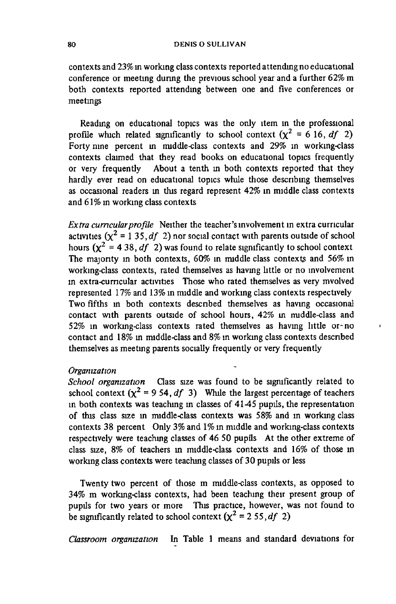**contexts and 23% in working class contexts reported attending no educational conference or meeting during the previous school year and a further 62% m both contexts reported attending between one and five conferences or meetings**

**Reading on educational topics was the only item in the professional** profile which related significantly to school context  $(x^2 = 6 \text{ 16}, df \text{ 2})$ **Forty nine percent in middle-class contexts and 29% in working-class contexts claimed that they read books on educational topics frequently or very frequently About a tenth in both contexts reported that they hardly ever read on educational topics while those describing themselves as occasional readers m this regard represent 42% in middle class contexts and 61% in working class contexts**

*Extra cumcularprofile* **Neither the teacher's involvement in extra curricular activities**  $(\chi^2 = 135, df \, 2)$  nor social contact with parents outside of school hours  $(\chi^2 = 4.38, df \text{ } 2)$  was found to relate significantly to school context **The majority in both contexts, 60% in middle class contexts and 56% m working-class contexts, rated themselves as having httle or no involvement m extra-cumcular activities Those who rated themselves as very mvolved represented 17% and 13% in middle and working class contexts respectively Two fifths m both contexts described themselves as havmg occasional contact with parents outside of school hours, 42% m middle-class and 52% in working-class contexts rated themselves as havmg little or-no contact and 18% m middle-class and 8% in working class contexts described themselves as meeting parents socially frequently or very frequently**

# *Organization*

*School organization* **Class size was found to be significantly related to** school context  $(x^2 = 9.54, df \, 3)$  While the largest percentage of teachers **in both contexts was teaching m classes of 4145 pupils, the representation of this class size in middle-class contexts was 58% and m working class contexts 38 percent Only 3% and 1% m middle and working-class contexts respectively were teaching classes of 46 50 pupils At the other extreme of class size, 8% of teachers m middle-class contexts and 16% of those in working class contexts were teaching classes of 30 pupils or less**

**Twenty two percent of those m middle-class contexts, as opposed to 34% m working-class contexts, had been teaching their present group of pupils for two years or more This practice, however, was not found to be significantly related to school context**  $(x^2 = 255, df \t2)$ 

*Classroom organization* **In Table 1 means and standard deviations for**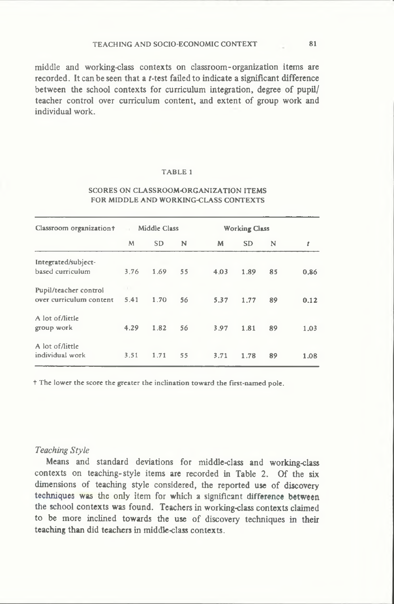**middle and working-class contexts on classroom-organization items are** recorded. It can be seen that a *t*-test failed to indicate a significant difference **between the school contexts for curriculum integration, degree of pupil/ teacher control over curriculum content, and extent of group work and individual work.**

# TABLE 1

#### SCORES ON CLASSROOM-ORGANIZATION ITEMS FOR MIDDLE AND WORKING-CLASS CONTEXTS

| Classroom organization+                          | m V  | Middle Class |    |      | <b>Working Class</b> |    |      |
|--------------------------------------------------|------|--------------|----|------|----------------------|----|------|
|                                                  | M    | <b>SD</b>    | N  | M    | <b>SD</b>            | N  | t    |
| Integrated/subject-<br>based curriculum          | 3.76 | 1.69         | 55 | 4.03 | 1.89                 | 85 | 0.86 |
| Pupil/teacher control<br>over curriculum content | 5.41 | 1.70         | 56 | 5.37 | 1.77                 | 89 | 0.12 |
| A lot of/little<br>group work                    | 4.29 | 1.82         | 56 | 3.97 | 1.81                 | 89 | 1.03 |
| A lot of /little<br>individual work              | 3.51 | 1.71         | 55 | 3.71 | 1.78                 | 89 | 1.08 |

t The lower the score the greater the inclination toward the first-named pole.

#### *Teaching Style*

**Means and standard deviations for middle-class and working-class contexts on teaching-style items are recorded in Table 2. Of the six dimensions of teaching style considered, the reported use of discovery techniques was the only item for which a significant difference between the school contexts was found. Teachers in working-class contexts claimed to be more inclined towards the use of discovery techniques in their teaching than did teachers in middle-class contexts.**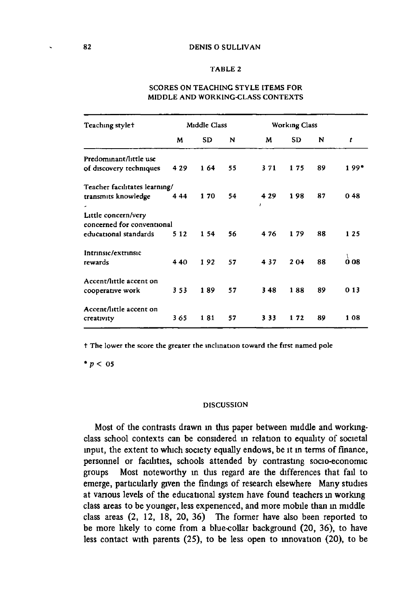#### TABLE 2

| Teaching stylet                                                            |       | Middle Class |    |                       | <b>Working Class</b> |    |        |
|----------------------------------------------------------------------------|-------|--------------|----|-----------------------|----------------------|----|--------|
|                                                                            | M     | <b>SD</b>    | N  | M                     | <b>SD</b>            | N  | t      |
| Predominant/little use<br>of discovery techniques                          | 4 2 9 | 164          | 55 | 371                   | 175                  | 89 | $199*$ |
| Teacher facilitates learning/<br>transmits knowledge                       | 444   | 170          | 54 | 4 2 9<br>$\mathbf{r}$ | 198                  | 87 | 048    |
| Little concern/very<br>concerned for conventional<br>educational standards | 5 1 2 | 154          | 56 | 476                   | 179                  | 88 | 125    |
| Intrinsic/extrinsic<br>rewards                                             | 440   | 192          | 57 | 437                   | 204                  | 88 | O 08   |
| Accent/little accent on<br>cooperative work                                | 353   | 189          | 57 | 348                   | 188                  | 89 | 0 1 3  |
| Accent/little accent on<br>creativity                                      | 365   | 181          | 57 | 3 3 3                 | 172                  | 89 | 108    |

# SCORES ON TEACHING STYLE ITEMS FOR MIDDLE AND WORKING-CLASS CONTEXTS

t The lower the score the greater the inclination toward the first named pole

*\* p* < 05

#### DISCUSSION

**Most of the contrasts drawn in this paper between middle and workingclass school contexts can be considered in relation to equality of societal input, the extent to which society equally endows, be it m terms of finance, personnel or facilities, schools attended by contrasting socio-economic groups Most noteworthy in this regard are the differences that fail to emerge, particularly given the findings of research elsewhere Many studies at various levels of the educational system have found teachers in working class areas to be younger, less experienced, and more mobile than m middle class areas (2, 12, 18, 20, 36) The former have also been reported to be more likely to come from a blue-collar background (20, 36), to have less contact with parents (25), to be less open to mnovation (20), to be**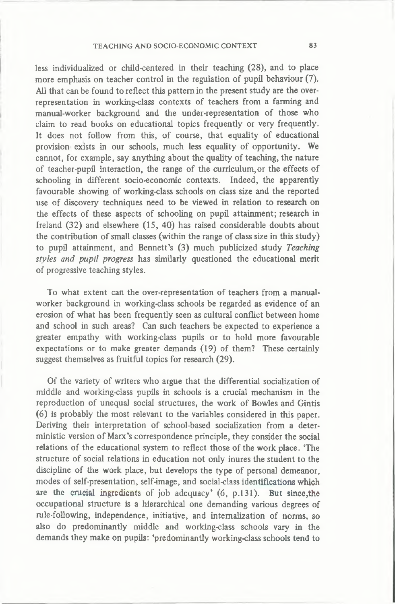**less individualized or child-centered in their teaching (28), and to place more emphasis on teacher control in the regulation of pupil behaviour (7). All that can be found to reflect this pattern in the present study are the overrepresentation in working-class contexts of teachers from a farming and manual-worker background and the under-representation of those who claim to read books on educational topics frequently or very frequently. It does not follow from this, of course, that equality of educational provision exists in our schools, much less equality of opportunity. We cannot, for example, say anything about the quality of teaching, the nature of teacher-pupil interaction, the range of the curriculum, or the effects of schooling in different socio-economic contexts. Indeed, the apparently favourable showing of working-class schools on class size and the reported use of discovery techniques need to be viewed in relation to research on the effects of these aspects of schooling on pupil attainment; research in Ireland (32) and elsewhere (15, 40) has raised considerable doubts about the contribution of small classes (within the range of class size in this study) to pupil attainment, and Bennett's (3) much publicized study** *Teaching styles and pupil progress* **has similarly questioned the educational merit of progressive teaching styles.**

**To what extent can the over-representation of teachers from a manualworker background in working-class schools be regarded as evidence of an erosion of what has been frequently seen as cultural conflict between home and school in such areas? Can such teachers be expected to experience a greater empathy with working-class pupils or to hold more favourable expectations or to make greater demands (19) of them? These certainly suggest themselves as fruitful topics for research (29).**

**Of the variety of writers who argue that the differential socialization of middle and working-class pupils in schools is a crucial mechanism in the reproduction of unequal social structures, the work of Bowles and Gintis (6) is probably the most relevant to the variables considered in this paper. Deriving their interpretation of school-based socialization from a deterministic version of Marx's correspondence principle, they consider the social relations of the educational system to reflect those of the work place. 'The structure of social relations in education not only inures the student to the discipline of the work place, but develops the type of personal demeanor, modes of self-presentation, self-image, and social-class identifications which are the crucial ingredients of job adequacy\* (6, p.131). But since,the occupational structure is a hierarchical one demanding various degrees of rule-following, independence, initiative, and internalization of norms, so also do predominantly middle and working-class schools vary in the demands they make on pupils: 'predominantly working-class schools tend to**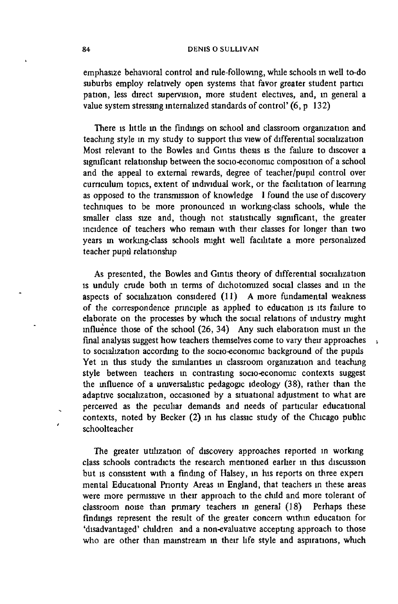#### 84 DENIS O SULLIVAN

**emphasize behavioral control and rule-following, while schools in well to-do suburbs employ relatively open systems that favor greater student partici pation, less direct supervision, more student electives, and, m general a value system stressmg internalized standards of control' (6, p 132)**

**There is httle in the findings on school and classroom organization and teaching style in my study to support this view of differential socialization Most relevant to the Bowles and Gintis thesis is the failure to discover a significant relationship between the socio-economic composition of a school and the appeal to external rewards, degree of teacher/pupil control over curriculum topics, extent of individual work, or the facilitation of learmng as opposed to the transmission of knowledge I found the use of discovery techniques to be more pronounced in working-class schools, while the smaller class size and, though not statistically significant, the greater incidence of teachers who remam with their classes for longer than two years in working-class schools might well facilitate a more personalized teacher pupil relationship**

**As presented, the Bowles and Gintis theory of differential socialization is unduly crude both in terms of dichotomized social classes and in the aspects of socialization considered (11) A more fundamental weakness of the correspondence principle as applied to education is its failure to elaborate on the processes by which the social relations of industry might influence those of the school (26, 34) Any such elaboration must in the final analysis suggest how teachers themselves come to vary their approaches to socialization according to the socio-economic background of the pupils Yet in this study the similarities in classroom organization and teaching style between teachers in contrasting socio-economic contexts suggest the influence of a umversalistic pedagogic ideology (38), rather than the adaptive socialization, occasioned by a situational adjustment to what are perceived as the peculiar demands and needs of particular educational contexts, noted by Becker (2) in his classic study of the Chicago public schoolteacher**

**The greater utilization of discovery approaches reported in working class schools contradicts the research mentioned earlier in this discussion but is consistent with a finding of Halsey, in his reports on three expen mental Educational Priority Areas m England, that teachers m these areas were more permissive m their approach to the child and more tolerant of classroom noise than primary teachers m general (18) Perhaps these findings represent the result of the greater concern within education for 'disadvantaged' children and a non-evaluative accepting approach to those who are other than mainstream in their life style and aspirations, which**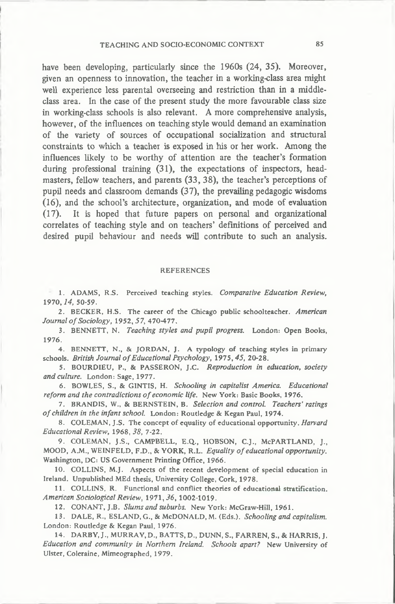**have been developing, particularly since the 1960s (24, 35). Moreover, given an openness to innovation, the teacher in a working-class area might well experience less parental overseeing and restriction than in a middleclass area. In the case of the present study the more favourable class size in working-class schools is also relevant. A more comprehensive analysis, however, of the influences on teaching style would demand an examination of the variety of sources of occupational socialization and structural** constraints to which a teacher is exposed in his or her work. Among the **influences likely to be worthy of attention are the teacher's formation during professional training (31), the expectations of inspectors, headmasters, fellow teachers, and parents (33, 38), the teacher's perceptions of pupil needs and classroom demands (37), the prevailing pedagogic wisdoms (16), and the school's architecture, organization, and mode of evaluation (17). It is hoped that future papers on personal and organizational correlates of teaching style and on teachers' definitions of perceived and desired pupil behaviour and needs will contribute to such an analysis.**

#### **REFERENCES**

1. ADAMS, R.S. Perceived teaching styles. *Comparative Education Review,* 1970,*14,* 50-59.

2. BECKER, H.S. The career of the Chicago public schoolteacher. *American Journal o f Sociology,* 1952,*57,* 470-477.

3. BENNETT, N. *Teaching styles and pupil progress.* London: Open Books, 1976.

4. BENNETT, N., & JORDAN, J. A typology of teaching styles in primary schools. *British Journal of Educational Psychology*, 1975, 45, 20-28.

5. BOURDIEU, P., & PASSERON, J.C. *Reproduction in education, society and culture.* London: Sage, 1977.

6. BOWLES, S., & GINTIS, H. *Schooling in capitalist America. Educational reform and the contradictions of economic life.* New York: Basic Books, 1976.

7. BRANDIS, W., & BERNSTEIN, B. *Selection and control. Teachers' ratings o f children in the infant school.* London: Routledge & Kegan Paul, 1974.

8. COLEMAN, J.S. The concept of equality of educational opportunity. *Harvard Educational Review,* 1968*,3 8 , 7-22.*

*9.* COLEMAN, J.S., CAMPBELL, E.Q., HOBSON, C.J., McPARTLAND, J., MOOD, A.M., WEINFELD, F.D., & YORK, R.L. *Equality o f educational opportunity.* Washington, DC: US Government Printing Office, 1966.

10. COLLINS, M.J. Aspects of the recent development of special education in Ireland. Unpublished MEd thesis, University College, Cork, 1978.

11. COLLINS, R. Functional and conflict theories of educational stratification. *American Sociological Review,* 1971*, 3 6 ,* 1002-1019.

12. CONANT, J.B. Slums and suburbs. New York: McGraw-Hill, 1961.

13. DALE, R., ESLAND, G., & McDONALD, M. (Eds.). *Schooling and capitalism.* London: Routledge & Kegan Paul, 1976.

14. DARBY, J., MURRAY, D., BATTS, D., DUNN, S., FARREN, S., & HARRIS, J. Education and community in Northern Ireland. Schools apart? New University of Ulster, Coleraine, Mimeographed, 1979.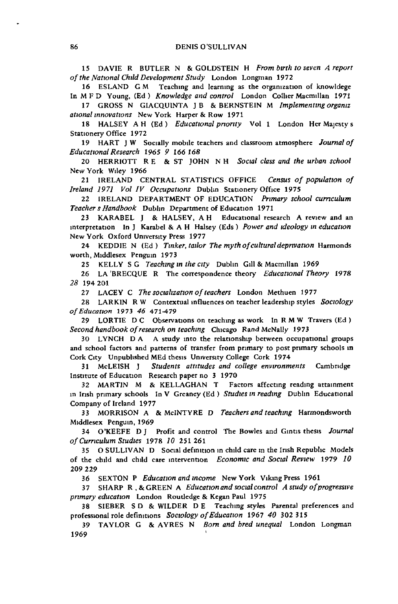15 DAVIE R BUTLER N & GOLDSTEIN H *From birth to seven A report o f the National Child Development Study* London Longman 1972

16 ESLAND G M Teaching and learning as the organization of knowldege In M F D Young, (Ed ) *Knowledge and control* London Collier Macmillan 1971

17 GROSS N G1ACQUINTA JB 8c BERNSTEIN M *Implementing organiz ational innovations* New York Harper 8c Row 1971

18 HALSEY A H (Ed) *Educational priority* Vol 1 London Her Majesty s Stationery Office 1972

19 HART J W Socially mobile teachers and classroom atmosphere *Journal of Educational Research 1965 9 166 168*

20 HERRIOTT R E & ST JOHN N H *Social class and the urban school* New York Wiley 1966

21 IRELAND CENTRAL STATISTICS OFFICE *Census of population of Ireland 1971 Vol IV Occupations* Dublin Stationery Office 1975

22 IRELAND DEPARTMENT OF EDUCATION *Primary school curriculum Teacher s Handbook* Dublin Department of Education 1971

23 KARABEL J & HALSEY, A H Educational research A review and an interpretation In J Karabel & A H Halsey (Eds ) *Power and ideology in education* New York Oxford University Press 1977

24 KEDDIE N (Ed) *Tinker, tailor The myth of cultural deprivation* Harmonds worth, Middlesex Penguin 1973

25 KELLY SG *Teaching in the city* Dublin Gill & Macmillan 1969

26 LA 'BRECQUE R The correspondence theory *Educational Theory* 1978 *28* 194 201

27 LACEY C The socialization of teachers London Methuen 1977

28 LARKIN R W Contextual influences on teacher leadership styles *Sociology o f Education* 1973 *46 471-479*

29 LORTIE D C Observations on teaching as work In R M W Travers (Ed) Second handbook of research on teaching Chicago Rand McNally 1973

30 LYNCH D A A study into the relationship between occupational groups and school factors and patterns of transfer from primary to post primary schools in Cork City Unpublished MEd thesis University College Cork 1974

31 McLEISH J *Students attitudes and college environments* Cambridge Institute of Education Research paper no 3 1970

32 MARTIN M & KELLAGHAN T Factors affecting reading attainment in Irish primary schools In V Greaney (Ed ) *Studies in reading* Dublin Educational Company of Ireland 1977

33 MORRISON A & McINTYRE D *Teachers and teaching* Harmondsworth Middlesex Penguin, 1969

34 O'KEEFE D J Profit and control The Bowles and Gintis thesis *Journal o f Curriculum Studies* 1978 *10* 251 261

35 O SULLIVAN D Social definition in child care m the Irish Republic Models of the child and child care intervention *Economic and Social Review* 1979 *10* 209 229

36 SEXTON P *Education and income* New York Viking Press 1961

37 SHARP R, & GREEN A *Education and social control A study of progressive primary education* London Roudedge & Kegan Paul 1975

38 SIEBER SD & WILDER DE Teaching styles Parental preferences and professional role definitions *Sociology of Education* 1967 40 302 315

39 TAYLOR G 8c AYRES N *Bom and bred unequal* London Longman 1969